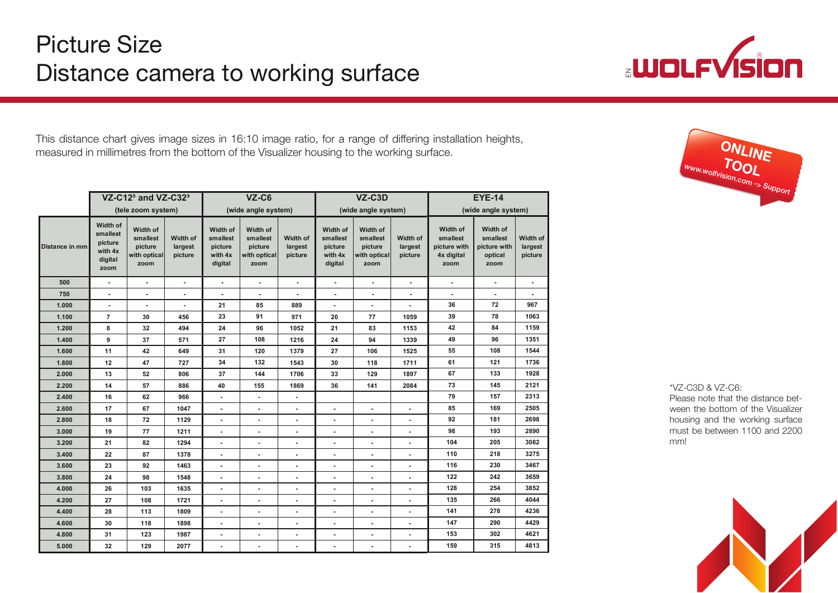

This distance chart gives image sizes in 16:10 image ratio, for a range of differing installation heights, This distance chart gives image sizes in 16:10 image ratio, for a range of differing installation heights, measured in millimetres from the bottom of the Visualizer housing to the working surface. measured in millimetres from the bottom of the Visualizer housing to the working surface.

|                | VZ-C12 $3$ and VZ-C32 $3$<br>(tele zoom system)               |                                                         |                                | $VZ-C6$<br>(wide angle system)                        |                                                         |                                | VZ-C3D<br>(wide angle system)                         |                                                         |                                | <b>EYE-14</b><br>(wide angle system)                       |                                                         |                                |
|----------------|---------------------------------------------------------------|---------------------------------------------------------|--------------------------------|-------------------------------------------------------|---------------------------------------------------------|--------------------------------|-------------------------------------------------------|---------------------------------------------------------|--------------------------------|------------------------------------------------------------|---------------------------------------------------------|--------------------------------|
|                |                                                               |                                                         |                                |                                                       |                                                         |                                |                                                       |                                                         |                                |                                                            |                                                         |                                |
| Distance in mm | Width of<br>smallest<br>picture<br>with 4x<br>digital<br>zoom | Width of<br>smallest<br>picture<br>with optical<br>zoom | Width of<br>largest<br>picture | Width of<br>smallest<br>picture<br>with 4x<br>digital | Width of<br>smallest<br>picture<br>with optical<br>zoom | Width of<br>largest<br>picture | Width of<br>smallest<br>picture<br>with 4x<br>digital | Width of<br>smallest<br>picture<br>with optical<br>zoom | Width of<br>largest<br>picture | Width of<br>smallest<br>picture with<br>4x digital<br>zoom | Width of<br>smallest<br>picture with<br>optical<br>zoom | Width of<br>largest<br>picture |
| 500            | $\blacksquare$                                                | $\blacksquare$                                          | $\overline{\phantom{a}}$       | $\sim$                                                | $\sim$                                                  | $\sim$                         | $\sim$                                                | $\blacksquare$                                          | $\sim$                         | $\blacksquare$                                             | $\blacksquare$                                          | $\sim$                         |
| 750            | $\overline{\phantom{a}}$                                      | $\overline{\phantom{a}}$                                | $\sim$                         | $\sim$                                                | $\sim$                                                  | $\blacksquare$                 | $\overline{\phantom{a}}$                              | $\blacksquare$                                          | $\blacksquare$                 | $\overline{\phantom{a}}$                                   | $\blacksquare$                                          | $\sim$                         |
| 1.000          | $\overline{\phantom{a}}$                                      | $\overline{\phantom{a}}$                                | $\blacksquare$                 | 21                                                    | 85                                                      | 889                            | $\sim$                                                | $\sim$                                                  | $\overline{\phantom{a}}$       | 36                                                         | 72                                                      | 967                            |
| 1.100          | $\overline{7}$                                                | 30                                                      | 456                            | 23                                                    | 91                                                      | 971                            | 20                                                    | 77                                                      | 1059                           | 39                                                         | 78                                                      | 1063                           |
| 1.200          | 8                                                             | 32                                                      | 494                            | 24                                                    | 96                                                      | 1052                           | 21                                                    | 83                                                      | 1153                           | 42                                                         | 84                                                      | 1159                           |
| 1.400          | 9                                                             | 37                                                      | 571                            | 27                                                    | 108                                                     | 1216                           | 24                                                    | 94                                                      | 1339                           | 49                                                         | 96                                                      | 1351                           |
| 1.600          | 11                                                            | 42                                                      | 649                            | 31                                                    | 120                                                     | 1379                           | 27                                                    | 106                                                     | 1525                           | 55                                                         | 108                                                     | 1544                           |
| 1.800          | 12                                                            | 47                                                      | 727                            | 34                                                    | 132                                                     | 1543                           | 30                                                    | 118                                                     | 1711                           | 61                                                         | 121                                                     | 1736                           |
| 2.000          | 13                                                            | 52                                                      | 806                            | 37                                                    | 144                                                     | 1706                           | 33                                                    | 129                                                     | 1897                           | 67                                                         | 133                                                     | 1928                           |
| 2.200          | 14                                                            | 57                                                      | 886                            | 40                                                    | 155                                                     | 1869                           | 36                                                    | 141                                                     | 2084                           | 73                                                         | 145                                                     | 2121                           |
| 2.400          | 16                                                            | 62                                                      | 966                            | $\blacksquare$                                        | $\sim$                                                  | $\blacksquare$                 |                                                       |                                                         |                                | 79                                                         | 157                                                     | 2313                           |
| 2.600          | 17                                                            | 67                                                      | 1047                           | $\blacksquare$                                        | $\sim$                                                  | $\blacksquare$                 | $\blacksquare$                                        | $\blacksquare$                                          | $\blacksquare$                 | 85                                                         | 169                                                     | 2505                           |
| 2.800          | 18                                                            | 72                                                      | 1129                           | $\blacksquare$                                        | $\blacksquare$                                          | $\overline{\phantom{a}}$       | $\blacksquare$                                        | $\blacksquare$                                          | $\blacksquare$                 | 92                                                         | 181                                                     | 2698                           |
| 3.000          | 19                                                            | 77                                                      | 1211                           | $\blacksquare$                                        | $\blacksquare$                                          | $\blacksquare$                 | $\blacksquare$                                        | $\blacksquare$                                          | $\blacksquare$                 | 98                                                         | 193                                                     | 2890                           |
| 3.200          | 21                                                            | 82                                                      | 1294                           | $\overline{\phantom{a}}$                              | $\overline{a}$                                          | $\blacksquare$                 | $\overline{\phantom{a}}$                              | $\overline{\phantom{a}}$                                | $\blacksquare$                 | 104                                                        | 205                                                     | 3082                           |
| 3.400          | 22                                                            | 87                                                      | 1378                           | $\blacksquare$                                        | $\sim$                                                  | $\blacksquare$                 | $\blacksquare$                                        | $\blacksquare$                                          | $\blacksquare$                 | 110                                                        | 218                                                     | 3275                           |
| 3.600          | 23                                                            | 92                                                      | 1463                           | $\sim$                                                | $\blacksquare$                                          | $\blacksquare$                 | $\overline{\phantom{a}}$                              | $\overline{\phantom{a}}$                                | $\blacksquare$                 | 116                                                        | 230                                                     | 3467                           |
| 3.800          | 24                                                            | 98                                                      | 1548                           | $\blacksquare$                                        | ۰                                                       | $\overline{\phantom{a}}$       | $\overline{\phantom{a}}$                              | $\overline{\phantom{a}}$                                | $\overline{\phantom{a}}$       | 122                                                        | 242                                                     | 3659                           |
| 4.000          | 26                                                            | 103                                                     | 1635                           | $\blacksquare$                                        | $\blacksquare$                                          | $\blacksquare$                 | $\blacksquare$                                        | $\blacksquare$                                          | $\blacksquare$                 | 128                                                        | 254                                                     | 3852                           |
| 4.200          | 27                                                            | 108                                                     | 1721                           | $\overline{a}$                                        | $\overline{a}$                                          | $\overline{a}$                 | $\overline{\phantom{a}}$                              | $\overline{\phantom{a}}$                                | $\overline{a}$                 | 135                                                        | 266                                                     | 4044                           |
| 4.400          | 28                                                            | 113                                                     | 1809                           | $\blacksquare$                                        | $\sim$                                                  | $\sim$                         | $\blacksquare$                                        | $\sim$                                                  | $\overline{\phantom{a}}$       | 141                                                        | 278                                                     | 4236                           |
| 4.600          | 30                                                            | 118                                                     | 1898                           | $\blacksquare$                                        | $\blacksquare$                                          | $\sim$                         | $\blacksquare$                                        | $\overline{\phantom{a}}$                                | $\blacksquare$                 | 147                                                        | 290                                                     | 4429                           |
| 4.800          | 31                                                            | 123                                                     | 1987                           | $\blacksquare$                                        | ٠                                                       | $\blacksquare$                 | $\blacksquare$                                        | $\blacksquare$                                          | $\blacksquare$                 | 153                                                        | 302                                                     | 4621                           |
| 5.000          | 32                                                            | 129                                                     | 2077                           |                                                       | $\overline{a}$                                          | $\blacksquare$                 | $\blacksquare$                                        | ٠                                                       | $\blacksquare$                 | 159                                                        | 315                                                     | 4813                           |



\*VZ-C3D & VZ-C6: Please note that the distance bet-Please note that the distance between the bottom of the Visualizer ween the bottom of the Visualizer housing and the working surface housing and the working surface must be between 1100 and 2200 must be between 1100 and 2200 mm!